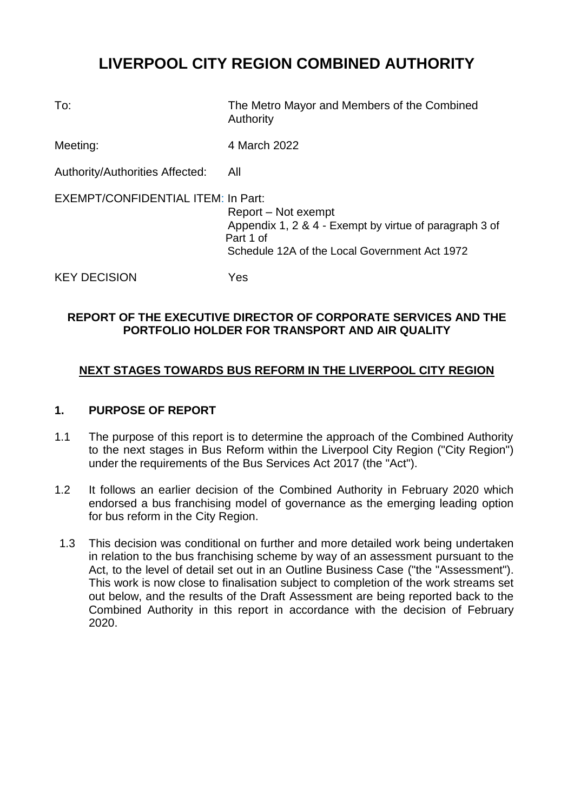# **LIVERPOOL CITY REGION COMBINED AUTHORITY**

To: The Metro Mayor and Members of the Combined Authority

Meeting: 4 March 2022

Authority/Authorities Affected: All

EXEMPT/CONFIDENTIAL ITEM: In Part:

 Report – Not exempt Appendix 1, 2 & 4 - Exempt by virtue of paragraph 3 of Part 1 of Schedule 12A of the Local Government Act 1972

KEY DECISION Yes

## **REPORT OF THE EXECUTIVE DIRECTOR OF CORPORATE SERVICES AND THE PORTFOLIO HOLDER FOR TRANSPORT AND AIR QUALITY**

## **NEXT STAGES TOWARDS BUS REFORM IN THE LIVERPOOL CITY REGION**

#### **1. PURPOSE OF REPORT**

- 1.1 The purpose of this report is to determine the approach of the Combined Authority to the next stages in Bus Reform within the Liverpool City Region ("City Region") under the requirements of the Bus Services Act 2017 (the "Act").
- 1.2 It follows an earlier decision of the Combined Authority in February 2020 which endorsed a bus franchising model of governance as the emerging leading option for bus reform in the City Region.
- 1.3 This decision was conditional on further and more detailed work being undertaken in relation to the bus franchising scheme by way of an assessment pursuant to the Act, to the level of detail set out in an Outline Business Case ("the "Assessment"). This work is now close to finalisation subject to completion of the work streams set out below, and the results of the Draft Assessment are being reported back to the Combined Authority in this report in accordance with the decision of February 2020.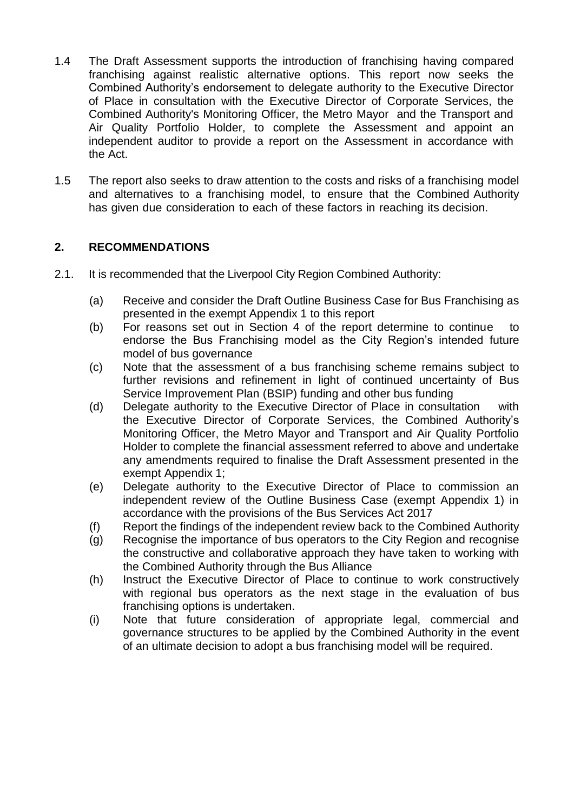- 1.4 The Draft Assessment supports the introduction of franchising having compared franchising against realistic alternative options. This report now seeks the Combined Authority's endorsement to delegate authority to the Executive Director of Place in consultation with the Executive Director of Corporate Services, the Combined Authority's Monitoring Officer, the Metro Mayor and the Transport and Air Quality Portfolio Holder, to complete the Assessment and appoint an independent auditor to provide a report on the Assessment in accordance with the Act.
- 1.5 The report also seeks to draw attention to the costs and risks of a franchising model and alternatives to a franchising model, to ensure that the Combined Authority has given due consideration to each of these factors in reaching its decision.

# **2. RECOMMENDATIONS**

- 2.1. It is recommended that the Liverpool City Region Combined Authority:
	- (a) Receive and consider the Draft Outline Business Case for Bus Franchising as presented in the exempt Appendix 1 to this report
	- (b) For reasons set out in Section 4 of the report determine to continue to endorse the Bus Franchising model as the City Region's intended future model of bus governance
	- (c) Note that the assessment of a bus franchising scheme remains subject to further revisions and refinement in light of continued uncertainty of Bus Service Improvement Plan (BSIP) funding and other bus funding
	- (d) Delegate authority to the Executive Director of Place in consultation with the Executive Director of Corporate Services, the Combined Authority's Monitoring Officer, the Metro Mayor and Transport and Air Quality Portfolio Holder to complete the financial assessment referred to above and undertake any amendments required to finalise the Draft Assessment presented in the exempt Appendix 1;
	- (e) Delegate authority to the Executive Director of Place to commission an independent review of the Outline Business Case (exempt Appendix 1) in accordance with the provisions of the Bus Services Act 2017
	- (f) Report the findings of the independent review back to the Combined Authority
	- (g) Recognise the importance of bus operators to the City Region and recognise the constructive and collaborative approach they have taken to working with the Combined Authority through the Bus Alliance
	- (h) Instruct the Executive Director of Place to continue to work constructively with regional bus operators as the next stage in the evaluation of bus franchising options is undertaken.
	- (i) Note that future consideration of appropriate legal, commercial and governance structures to be applied by the Combined Authority in the event of an ultimate decision to adopt a bus franchising model will be required.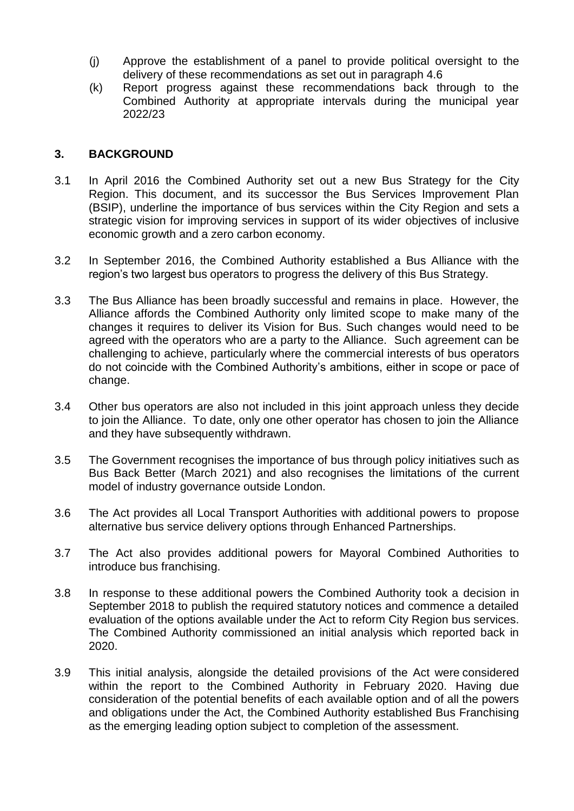- (j) Approve the establishment of a panel to provide political oversight to the delivery of these recommendations as set out in paragraph 4.6
- (k) Report progress against these recommendations back through to the Combined Authority at appropriate intervals during the municipal year 2022/23

## **3. BACKGROUND**

- 3.1 In April 2016 the Combined Authority set out a new Bus Strategy for the City Region. This document, and its successor the Bus Services Improvement Plan (BSIP), underline the importance of bus services within the City Region and sets a strategic vision for improving services in support of its wider objectives of inclusive economic growth and a zero carbon economy.
- 3.2 In September 2016, the Combined Authority established a Bus Alliance with the region's two largest bus operators to progress the delivery of this Bus Strategy.
- 3.3 The Bus Alliance has been broadly successful and remains in place. However, the Alliance affords the Combined Authority only limited scope to make many of the changes it requires to deliver its Vision for Bus. Such changes would need to be agreed with the operators who are a party to the Alliance. Such agreement can be challenging to achieve, particularly where the commercial interests of bus operators do not coincide with the Combined Authority's ambitions, either in scope or pace of change.
- 3.4 Other bus operators are also not included in this joint approach unless they decide to join the Alliance. To date, only one other operator has chosen to join the Alliance and they have subsequently withdrawn.
- 3.5 The Government recognises the importance of bus through policy initiatives such as Bus Back Better (March 2021) and also recognises the limitations of the current model of industry governance outside London.
- 3.6 The Act provides all Local Transport Authorities with additional powers to propose alternative bus service delivery options through Enhanced Partnerships.
- 3.7 The Act also provides additional powers for Mayoral Combined Authorities to introduce bus franchising.
- 3.8 In response to these additional powers the Combined Authority took a decision in September 2018 to publish the required statutory notices and commence a detailed evaluation of the options available under the Act to reform City Region bus services. The Combined Authority commissioned an initial analysis which reported back in 2020.
- 3.9 This initial analysis, alongside the detailed provisions of the Act were considered within the report to the Combined Authority in February 2020. Having due consideration of the potential benefits of each available option and of all the powers and obligations under the Act, the Combined Authority established Bus Franchising as the emerging leading option subject to completion of the assessment.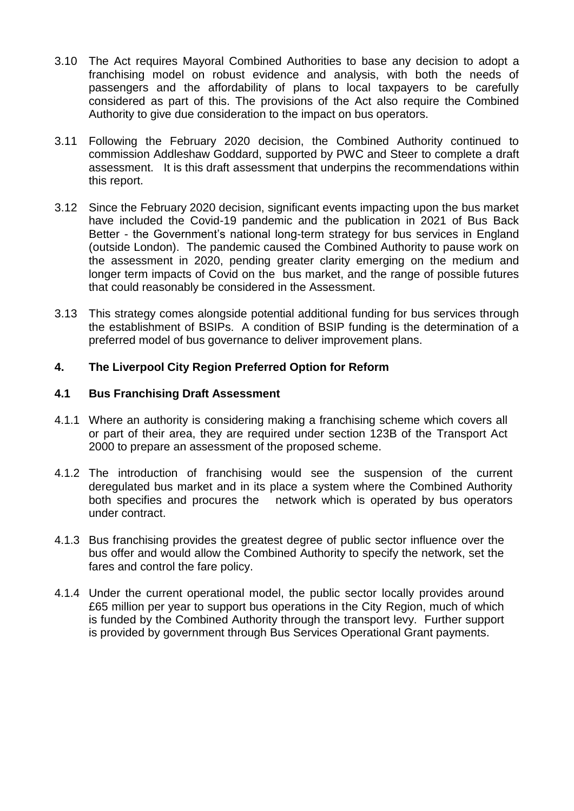- 3.10 The Act requires Mayoral Combined Authorities to base any decision to adopt a franchising model on robust evidence and analysis, with both the needs of passengers and the affordability of plans to local taxpayers to be carefully considered as part of this. The provisions of the Act also require the Combined Authority to give due consideration to the impact on bus operators.
- 3.11 Following the February 2020 decision, the Combined Authority continued to commission Addleshaw Goddard, supported by PWC and Steer to complete a draft assessment. It is this draft assessment that underpins the recommendations within this report.
- 3.12 Since the February 2020 decision, significant events impacting upon the bus market have included the Covid-19 pandemic and the publication in 2021 of Bus Back Better - the Government's national long-term strategy for bus services in England (outside London). The pandemic caused the Combined Authority to pause work on the assessment in 2020, pending greater clarity emerging on the medium and longer term impacts of Covid on the bus market, and the range of possible futures that could reasonably be considered in the Assessment.
- 3.13 This strategy comes alongside potential additional funding for bus services through the establishment of BSIPs. A condition of BSIP funding is the determination of a preferred model of bus governance to deliver improvement plans.

## **4. The Liverpool City Region Preferred Option for Reform**

#### **4.1 Bus Franchising Draft Assessment**

- 4.1.1 Where an authority is considering making a franchising scheme which covers all or part of their area, they are required under section 123B of the Transport Act 2000 to prepare an assessment of the proposed scheme.
- 4.1.2 The introduction of franchising would see the suspension of the current deregulated bus market and in its place a system where the Combined Authority both specifies and procures the network which is operated by bus operators under contract.
- 4.1.3 Bus franchising provides the greatest degree of public sector influence over the bus offer and would allow the Combined Authority to specify the network, set the fares and control the fare policy.
- 4.1.4 Under the current operational model, the public sector locally provides around £65 million per year to support bus operations in the City Region, much of which is funded by the Combined Authority through the transport levy. Further support is provided by government through Bus Services Operational Grant payments.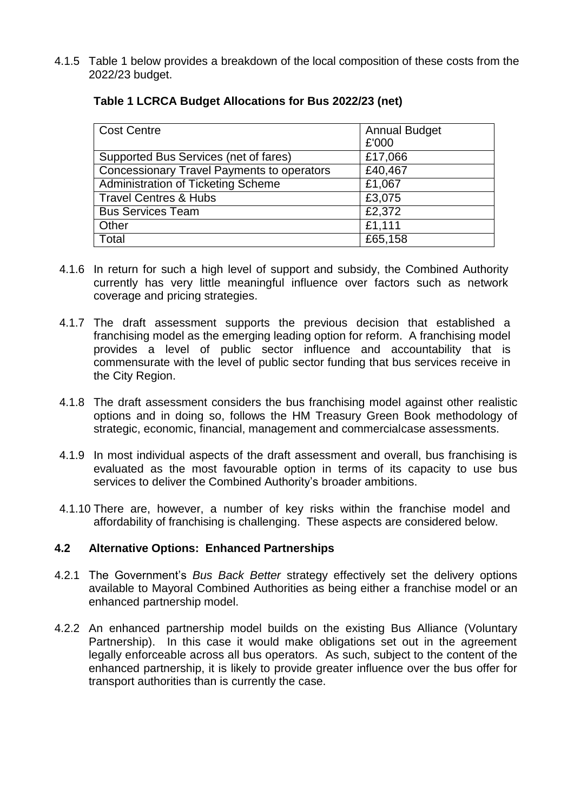4.1.5 Table 1 below provides a breakdown of the local composition of these costs from the 2022/23 budget.

| <b>Cost Centre</b>                                | <b>Annual Budget</b><br>£'000 |
|---------------------------------------------------|-------------------------------|
| Supported Bus Services (net of fares)             | £17,066                       |
| <b>Concessionary Travel Payments to operators</b> | £40,467                       |
| <b>Administration of Ticketing Scheme</b>         | £1,067                        |
| <b>Travel Centres &amp; Hubs</b>                  | £3,075                        |
| <b>Bus Services Team</b>                          | £2,372                        |
| Other                                             | £1,111                        |
| Total                                             | £65,158                       |

# **Table 1 LCRCA Budget Allocations for Bus 2022/23 (net)**

- 4.1.6 In return for such a high level of support and subsidy, the Combined Authority currently has very little meaningful influence over factors such as network coverage and pricing strategies.
- 4.1.7 The draft assessment supports the previous decision that established a franchising model as the emerging leading option for reform. A franchising model provides a level of public sector influence and accountability that is commensurate with the level of public sector funding that bus services receive in the City Region.
- 4.1.8 The draft assessment considers the bus franchising model against other realistic options and in doing so, follows the HM Treasury Green Book methodology of strategic, economic, financial, management and commercialcase assessments.
- 4.1.9 In most individual aspects of the draft assessment and overall, bus franchising is evaluated as the most favourable option in terms of its capacity to use bus services to deliver the Combined Authority's broader ambitions.
- 4.1.10 There are, however, a number of key risks within the franchise model and affordability of franchising is challenging. These aspects are considered below.

#### **4.2 Alternative Options: Enhanced Partnerships**

- 4.2.1 The Government's *Bus Back Better* strategy effectively set the delivery options available to Mayoral Combined Authorities as being either a franchise model or an enhanced partnership model.
- 4.2.2 An enhanced partnership model builds on the existing Bus Alliance (Voluntary Partnership). In this case it would make obligations set out in the agreement legally enforceable across all bus operators. As such, subject to the content of the enhanced partnership, it is likely to provide greater influence over the bus offer for transport authorities than is currently the case.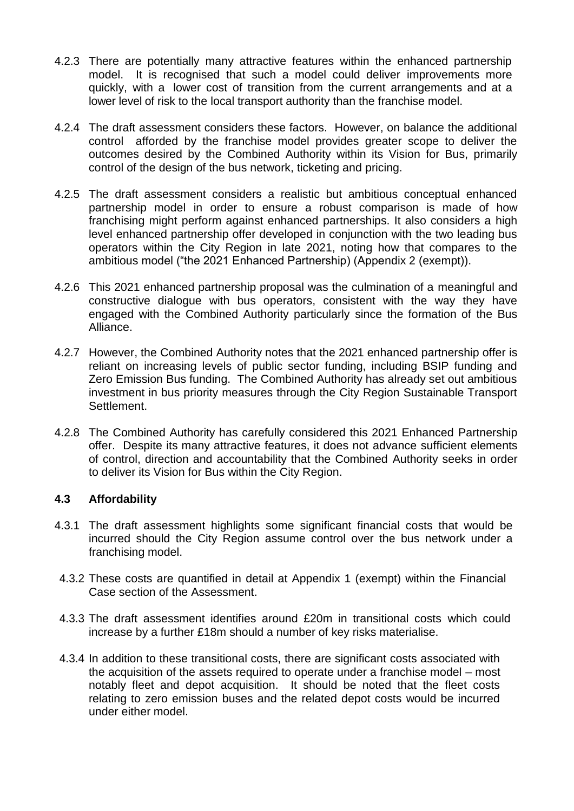- 4.2.3 There are potentially many attractive features within the enhanced partnership model. It is recognised that such a model could deliver improvements more quickly, with a lower cost of transition from the current arrangements and at a lower level of risk to the local transport authority than the franchise model.
- 4.2.4 The draft assessment considers these factors. However, on balance the additional control afforded by the franchise model provides greater scope to deliver the outcomes desired by the Combined Authority within its Vision for Bus, primarily control of the design of the bus network, ticketing and pricing.
- 4.2.5 The draft assessment considers a realistic but ambitious conceptual enhanced partnership model in order to ensure a robust comparison is made of how franchising might perform against enhanced partnerships. It also considers a high level enhanced partnership offer developed in conjunction with the two leading bus operators within the City Region in late 2021, noting how that compares to the ambitious model ("the 2021 Enhanced Partnership) (Appendix 2 (exempt)).
- 4.2.6 This 2021 enhanced partnership proposal was the culmination of a meaningful and constructive dialogue with bus operators, consistent with the way they have engaged with the Combined Authority particularly since the formation of the Bus Alliance.
- 4.2.7 However, the Combined Authority notes that the 2021 enhanced partnership offer is reliant on increasing levels of public sector funding, including BSIP funding and Zero Emission Bus funding. The Combined Authority has already set out ambitious investment in bus priority measures through the City Region Sustainable Transport Settlement.
- 4.2.8 The Combined Authority has carefully considered this 2021 Enhanced Partnership offer. Despite its many attractive features, it does not advance sufficient elements of control, direction and accountability that the Combined Authority seeks in order to deliver its Vision for Bus within the City Region.

#### **4.3 Affordability**

- 4.3.1 The draft assessment highlights some significant financial costs that would be incurred should the City Region assume control over the bus network under a franchising model.
- 4.3.2 These costs are quantified in detail at Appendix 1 (exempt) within the Financial Case section of the Assessment.
- 4.3.3 The draft assessment identifies around £20m in transitional costs which could increase by a further £18m should a number of key risks materialise.
- 4.3.4 In addition to these transitional costs, there are significant costs associated with the acquisition of the assets required to operate under a franchise model – most notably fleet and depot acquisition. It should be noted that the fleet costs relating to zero emission buses and the related depot costs would be incurred under either model.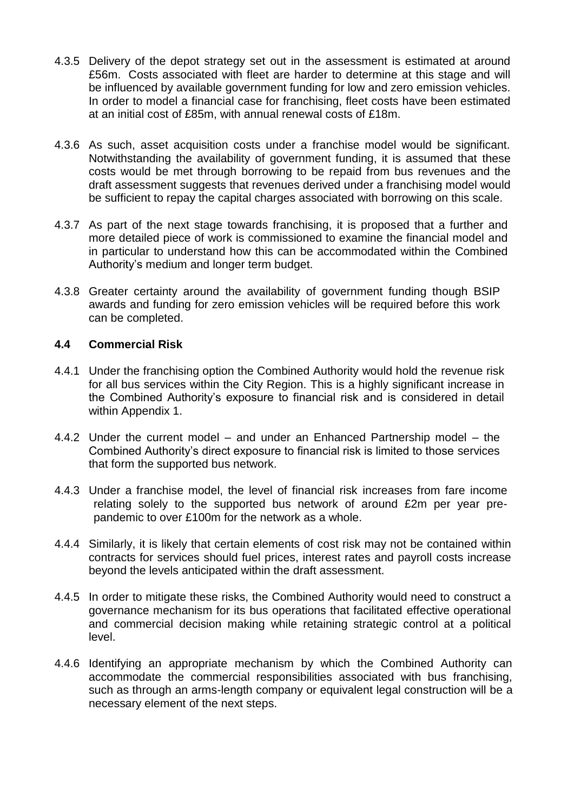- 4.3.5 Delivery of the depot strategy set out in the assessment is estimated at around £56m. Costs associated with fleet are harder to determine at this stage and will be influenced by available government funding for low and zero emission vehicles. In order to model a financial case for franchising, fleet costs have been estimated at an initial cost of £85m, with annual renewal costs of £18m.
- 4.3.6 As such, asset acquisition costs under a franchise model would be significant. Notwithstanding the availability of government funding, it is assumed that these costs would be met through borrowing to be repaid from bus revenues and the draft assessment suggests that revenues derived under a franchising model would be sufficient to repay the capital charges associated with borrowing on this scale.
- 4.3.7 As part of the next stage towards franchising, it is proposed that a further and more detailed piece of work is commissioned to examine the financial model and in particular to understand how this can be accommodated within the Combined Authority's medium and longer term budget.
- 4.3.8 Greater certainty around the availability of government funding though BSIP awards and funding for zero emission vehicles will be required before this work can be completed.

#### **4.4 Commercial Risk**

- 4.4.1 Under the franchising option the Combined Authority would hold the revenue risk for all bus services within the City Region. This is a highly significant increase in the Combined Authority's exposure to financial risk and is considered in detail within Appendix 1.
- 4.4.2 Under the current model and under an Enhanced Partnership model the Combined Authority's direct exposure to financial risk is limited to those services that form the supported bus network.
- 4.4.3 Under a franchise model, the level of financial risk increases from fare income relating solely to the supported bus network of around £2m per year prepandemic to over £100m for the network as a whole.
- 4.4.4 Similarly, it is likely that certain elements of cost risk may not be contained within contracts for services should fuel prices, interest rates and payroll costs increase beyond the levels anticipated within the draft assessment.
- 4.4.5 In order to mitigate these risks, the Combined Authority would need to construct a governance mechanism for its bus operations that facilitated effective operational and commercial decision making while retaining strategic control at a political level.
- 4.4.6 Identifying an appropriate mechanism by which the Combined Authority can accommodate the commercial responsibilities associated with bus franchising, such as through an arms-length company or equivalent legal construction will be a necessary element of the next steps.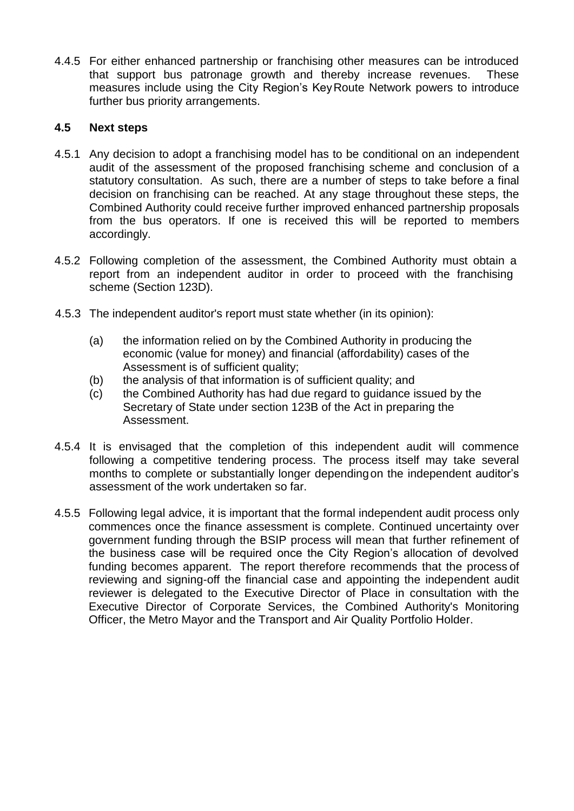4.4.5 For either enhanced partnership or franchising other measures can be introduced that support bus patronage growth and thereby increase revenues. These measures include using the City Region's KeyRoute Network powers to introduce further bus priority arrangements.

#### **4.5 Next steps**

- 4.5.1 Any decision to adopt a franchising model has to be conditional on an independent audit of the assessment of the proposed franchising scheme and conclusion of a statutory consultation. As such, there are a number of steps to take before a final decision on franchising can be reached. At any stage throughout these steps, the Combined Authority could receive further improved enhanced partnership proposals from the bus operators. If one is received this will be reported to members accordingly.
- 4.5.2 Following completion of the assessment, the Combined Authority must obtain a report from an independent auditor in order to proceed with the franchising scheme (Section 123D).
- 4.5.3 The independent auditor's report must state whether (in its opinion):
	- (a) the information relied on by the Combined Authority in producing the economic (value for money) and financial (affordability) cases of the Assessment is of sufficient quality:
	- (b) the analysis of that information is of sufficient quality; and
	- (c) the Combined Authority has had due regard to guidance issued by the Secretary of State under section 123B of the Act in preparing the Assessment.
- 4.5.4 It is envisaged that the completion of this independent audit will commence following a competitive tendering process. The process itself may take several months to complete or substantially longer dependingon the independent auditor's assessment of the work undertaken so far.
- 4.5.5 Following legal advice, it is important that the formal independent audit process only commences once the finance assessment is complete. Continued uncertainty over government funding through the BSIP process will mean that further refinement of the business case will be required once the City Region's allocation of devolved funding becomes apparent. The report therefore recommends that the process of reviewing and signing-off the financial case and appointing the independent audit reviewer is delegated to the Executive Director of Place in consultation with the Executive Director of Corporate Services, the Combined Authority's Monitoring Officer, the Metro Mayor and the Transport and Air Quality Portfolio Holder.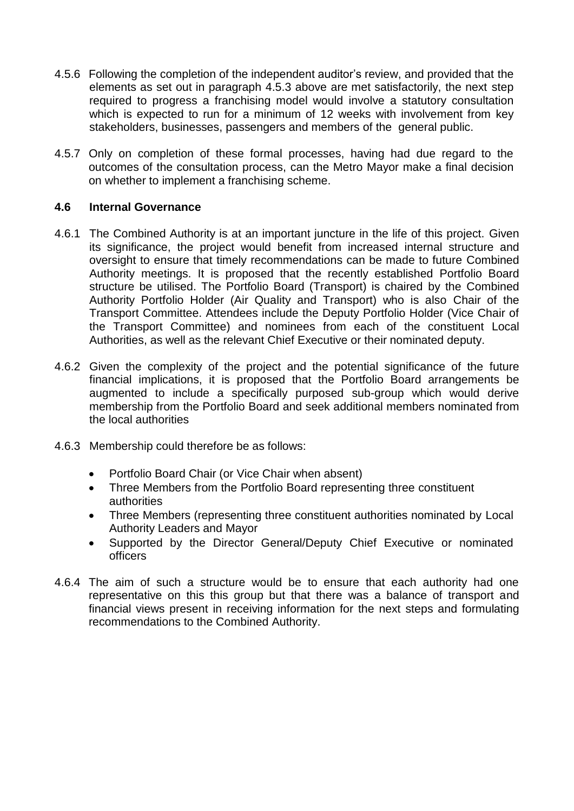- 4.5.6 Following the completion of the independent auditor's review, and provided that the elements as set out in paragraph 4.5.3 above are met satisfactorily, the next step required to progress a franchising model would involve a statutory consultation which is expected to run for a minimum of 12 weeks with involvement from key stakeholders, businesses, passengers and members of the general public.
- 4.5.7 Only on completion of these formal processes, having had due regard to the outcomes of the consultation process, can the Metro Mayor make a final decision on whether to implement a franchising scheme.

#### **4.6 Internal Governance**

- 4.6.1 The Combined Authority is at an important juncture in the life of this project. Given its significance, the project would benefit from increased internal structure and oversight to ensure that timely recommendations can be made to future Combined Authority meetings. It is proposed that the recently established Portfolio Board structure be utilised. The Portfolio Board (Transport) is chaired by the Combined Authority Portfolio Holder (Air Quality and Transport) who is also Chair of the Transport Committee. Attendees include the Deputy Portfolio Holder (Vice Chair of the Transport Committee) and nominees from each of the constituent Local Authorities, as well as the relevant Chief Executive or their nominated deputy.
- 4.6.2 Given the complexity of the project and the potential significance of the future financial implications, it is proposed that the Portfolio Board arrangements be augmented to include a specifically purposed sub-group which would derive membership from the Portfolio Board and seek additional members nominated from the local authorities
- 4.6.3 Membership could therefore be as follows:
	- Portfolio Board Chair (or Vice Chair when absent)
	- Three Members from the Portfolio Board representing three constituent authorities
	- Three Members (representing three constituent authorities nominated by Local Authority Leaders and Mayor
	- Supported by the Director General/Deputy Chief Executive or nominated officers
- 4.6.4 The aim of such a structure would be to ensure that each authority had one representative on this this group but that there was a balance of transport and financial views present in receiving information for the next steps and formulating recommendations to the Combined Authority.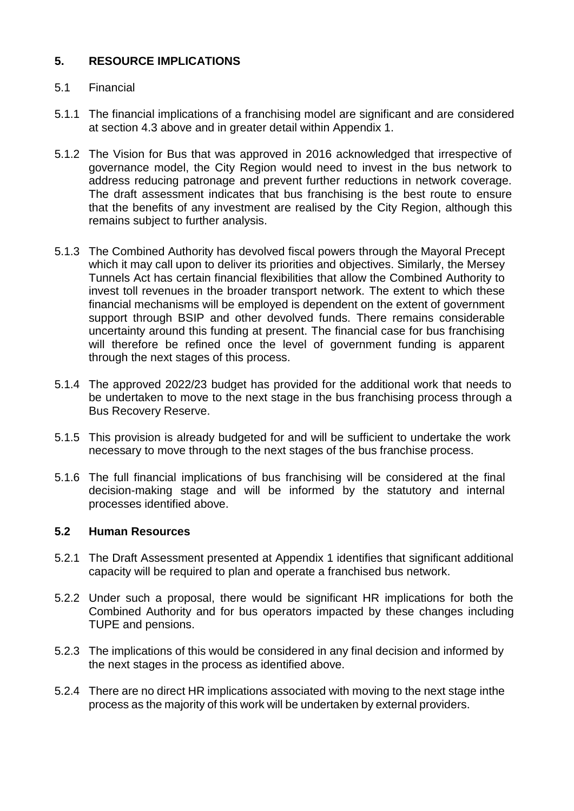# **5. RESOURCE IMPLICATIONS**

## 5.1 Financial

- 5.1.1 The financial implications of a franchising model are significant and are considered at section 4.3 above and in greater detail within Appendix 1.
- 5.1.2 The Vision for Bus that was approved in 2016 acknowledged that irrespective of governance model, the City Region would need to invest in the bus network to address reducing patronage and prevent further reductions in network coverage. The draft assessment indicates that bus franchising is the best route to ensure that the benefits of any investment are realised by the City Region, although this remains subject to further analysis.
- 5.1.3 The Combined Authority has devolved fiscal powers through the Mayoral Precept which it may call upon to deliver its priorities and objectives. Similarly, the Mersey Tunnels Act has certain financial flexibilities that allow the Combined Authority to invest toll revenues in the broader transport network. The extent to which these financial mechanisms will be employed is dependent on the extent of government support through BSIP and other devolved funds. There remains considerable uncertainty around this funding at present. The financial case for bus franchising will therefore be refined once the level of government funding is apparent through the next stages of this process.
- 5.1.4 The approved 2022/23 budget has provided for the additional work that needs to be undertaken to move to the next stage in the bus franchising process through a Bus Recovery Reserve.
- 5.1.5 This provision is already budgeted for and will be sufficient to undertake the work necessary to move through to the next stages of the bus franchise process.
- 5.1.6 The full financial implications of bus franchising will be considered at the final decision-making stage and will be informed by the statutory and internal processes identified above.

#### **5.2 Human Resources**

- 5.2.1 The Draft Assessment presented at Appendix 1 identifies that significant additional capacity will be required to plan and operate a franchised bus network.
- 5.2.2 Under such a proposal, there would be significant HR implications for both the Combined Authority and for bus operators impacted by these changes including TUPE and pensions.
- 5.2.3 The implications of this would be considered in any final decision and informed by the next stages in the process as identified above.
- 5.2.4 There are no direct HR implications associated with moving to the next stage inthe process as the majority of this work will be undertaken by external providers.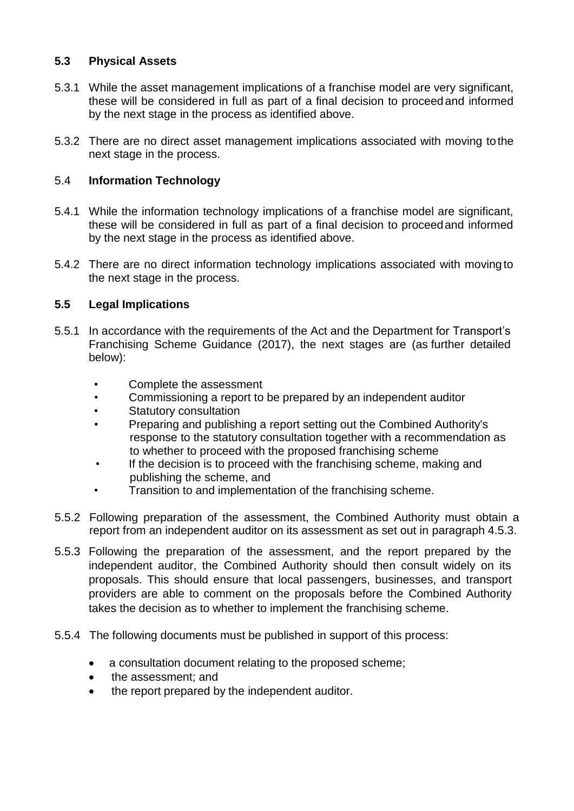# **5.3 Physical Assets**

- 5.3.1 While the asset management implications of a franchise model are very significant, these will be considered in full as part of a final decision to proceedand informed by the next stage in the process as identified above.
- 5.3.2 There are no direct asset management implications associated with moving tothe next stage in the process.

# 5.4 **Information Technology**

- 5.4.1 While the information technology implications of a franchise model are significant, these will be considered in full as part of a final decision to proceedand informed by the next stage in the process as identified above.
- 5.4.2 There are no direct information technology implications associated with movingto the next stage in the process.

# **5.5 Legal Implications**

- 5.5.1 In accordance with the requirements of the Act and the Department for Transport's Franchising Scheme Guidance (2017), the next stages are (as further detailed below):
	- Complete the assessment
	- Commissioning a report to be prepared by an independent auditor
	- Statutory consultation
	- Preparing and publishing a report setting out the Combined Authority's response to the statutory consultation together with a recommendation as to whether to proceed with the proposed franchising scheme
	- If the decision is to proceed with the franchising scheme, making and publishing the scheme, and
	- Transition to and implementation of the franchising scheme.
- 5.5.2 Following preparation of the assessment, the Combined Authority must obtain a report from an independent auditor on its assessment as set out in paragraph 4.5.3.
- 5.5.3 Following the preparation of the assessment, and the report prepared by the independent auditor, the Combined Authority should then consult widely on its proposals. This should ensure that local passengers, businesses, and transport providers are able to comment on the proposals before the Combined Authority takes the decision as to whether to implement the franchising scheme.
- 5.5.4 The following documents must be published in support of this process:
	- a consultation document relating to the proposed scheme;
	- the assessment; and
	- the report prepared by the independent auditor.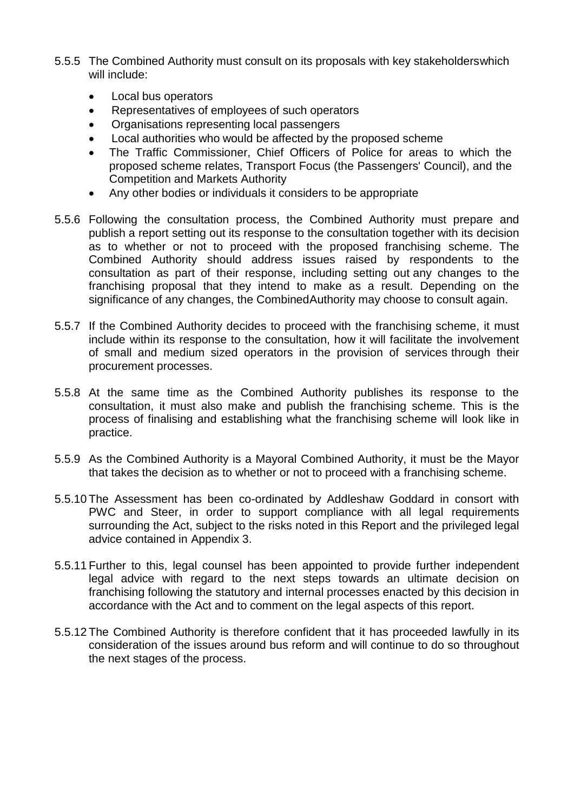- 5.5.5 The Combined Authority must consult on its proposals with key stakeholderswhich will include:
	- Local bus operators
	- Representatives of employees of such operators
	- Organisations representing local passengers
	- Local authorities who would be affected by the proposed scheme
	- The Traffic Commissioner, Chief Officers of Police for areas to which the proposed scheme relates, Transport Focus (the Passengers' Council), and the Competition and Markets Authority
	- Any other bodies or individuals it considers to be appropriate
- 5.5.6 Following the consultation process, the Combined Authority must prepare and publish a report setting out its response to the consultation together with its decision as to whether or not to proceed with the proposed franchising scheme. The Combined Authority should address issues raised by respondents to the consultation as part of their response, including setting out any changes to the franchising proposal that they intend to make as a result. Depending on the significance of any changes, the CombinedAuthority may choose to consult again.
- 5.5.7 If the Combined Authority decides to proceed with the franchising scheme, it must include within its response to the consultation, how it will facilitate the involvement of small and medium sized operators in the provision of services through their procurement processes.
- 5.5.8 At the same time as the Combined Authority publishes its response to the consultation, it must also make and publish the franchising scheme. This is the process of finalising and establishing what the franchising scheme will look like in practice.
- 5.5.9 As the Combined Authority is a Mayoral Combined Authority, it must be the Mayor that takes the decision as to whether or not to proceed with a franchising scheme.
- 5.5.10 The Assessment has been co-ordinated by Addleshaw Goddard in consort with PWC and Steer, in order to support compliance with all legal requirements surrounding the Act, subject to the risks noted in this Report and the privileged legal advice contained in Appendix 3.
- 5.5.11 Further to this, legal counsel has been appointed to provide further independent legal advice with regard to the next steps towards an ultimate decision on franchising following the statutory and internal processes enacted by this decision in accordance with the Act and to comment on the legal aspects of this report.
- 5.5.12 The Combined Authority is therefore confident that it has proceeded lawfully in its consideration of the issues around bus reform and will continue to do so throughout the next stages of the process.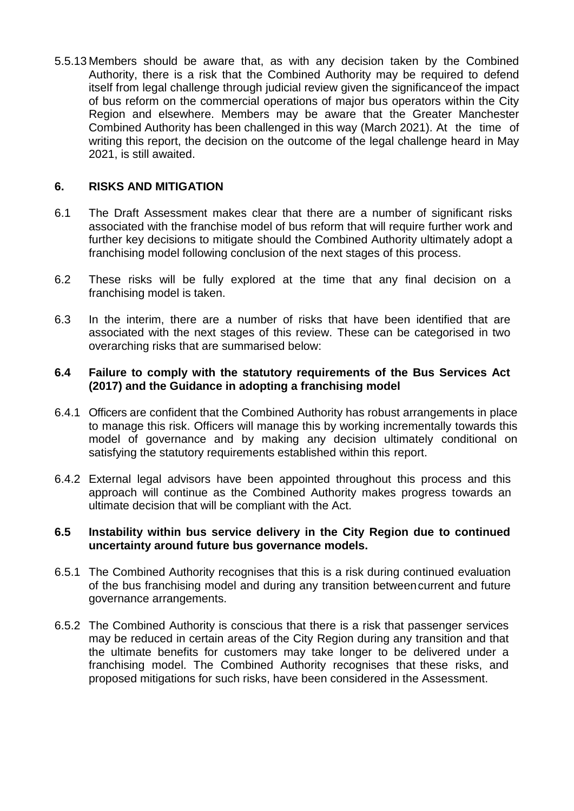5.5.13 Members should be aware that, as with any decision taken by the Combined Authority, there is a risk that the Combined Authority may be required to defend itself from legal challenge through judicial review given the significanceof the impact of bus reform on the commercial operations of major bus operators within the City Region and elsewhere. Members may be aware that the Greater Manchester Combined Authority has been challenged in this way (March 2021). At the time of writing this report, the decision on the outcome of the legal challenge heard in May 2021, is still awaited.

## **6. RISKS AND MITIGATION**

- 6.1 The Draft Assessment makes clear that there are a number of significant risks associated with the franchise model of bus reform that will require further work and further key decisions to mitigate should the Combined Authority ultimately adopt a franchising model following conclusion of the next stages of this process.
- 6.2 These risks will be fully explored at the time that any final decision on a franchising model is taken.
- 6.3 In the interim, there are a number of risks that have been identified that are associated with the next stages of this review. These can be categorised in two overarching risks that are summarised below:

#### **6.4 Failure to comply with the statutory requirements of the Bus Services Act (2017) and the Guidance in adopting a franchising model**

- 6.4.1 Officers are confident that the Combined Authority has robust arrangements in place to manage this risk. Officers will manage this by working incrementally towards this model of governance and by making any decision ultimately conditional on satisfying the statutory requirements established within this report.
- 6.4.2 External legal advisors have been appointed throughout this process and this approach will continue as the Combined Authority makes progress towards an ultimate decision that will be compliant with the Act.

#### **6.5 Instability within bus service delivery in the City Region due to continued uncertainty around future bus governance models.**

- 6.5.1 The Combined Authority recognises that this is a risk during continued evaluation of the bus franchising model and during any transition betweencurrent and future governance arrangements.
- 6.5.2 The Combined Authority is conscious that there is a risk that passenger services may be reduced in certain areas of the City Region during any transition and that the ultimate benefits for customers may take longer to be delivered under a franchising model. The Combined Authority recognises that these risks, and proposed mitigations for such risks, have been considered in the Assessment.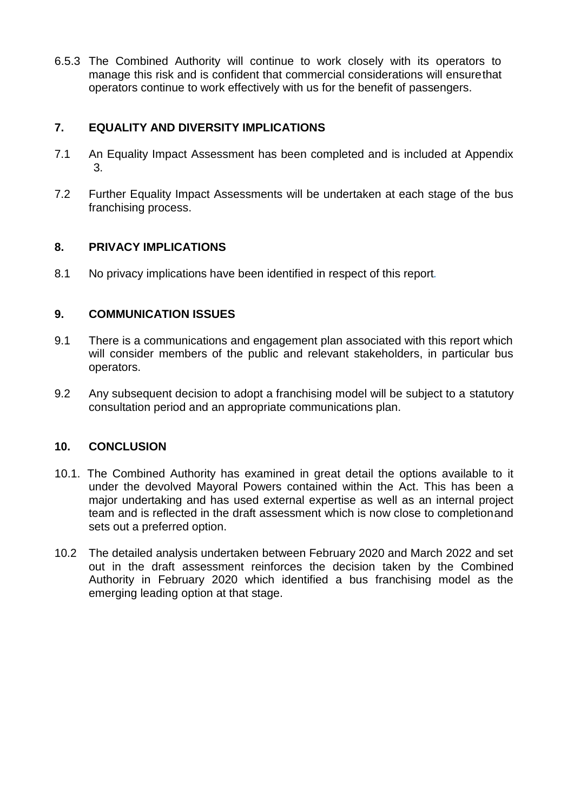6.5.3 The Combined Authority will continue to work closely with its operators to manage this risk and is confident that commercial considerations will ensurethat operators continue to work effectively with us for the benefit of passengers.

# **7. EQUALITY AND DIVERSITY IMPLICATIONS**

- 7.1 An Equality Impact Assessment has been completed and is included at Appendix 3.
- 7.2 Further Equality Impact Assessments will be undertaken at each stage of the bus franchising process.

# **8. PRIVACY IMPLICATIONS**

8.1 No privacy implications have been identified in respect of this report*.*

# **9. COMMUNICATION ISSUES**

- 9.1 There is a communications and engagement plan associated with this report which will consider members of the public and relevant stakeholders, in particular bus operators.
- 9.2 Any subsequent decision to adopt a franchising model will be subject to a statutory consultation period and an appropriate communications plan.

# **10. CONCLUSION**

- 10.1. The Combined Authority has examined in great detail the options available to it under the devolved Mayoral Powers contained within the Act. This has been a major undertaking and has used external expertise as well as an internal project team and is reflected in the draft assessment which is now close to completionand sets out a preferred option.
- 10.2 The detailed analysis undertaken between February 2020 and March 2022 and set out in the draft assessment reinforces the decision taken by the Combined Authority in February 2020 which identified a bus franchising model as the emerging leading option at that stage.